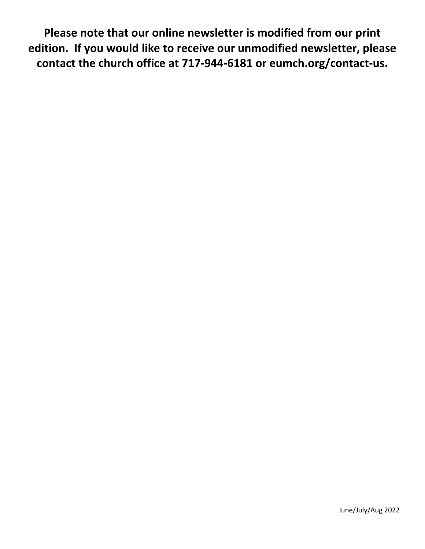**Please note that our online newsletter is modified from our print edition. If you would like to receive our unmodified newsletter, please contact the church office at 717-944-6181 or eumch.org/contact-us.**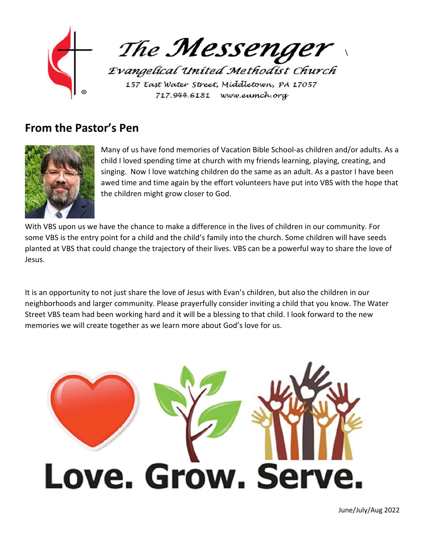

### **From the Pastor's Pen**



Many of us have fond memories of Vacation Bible School-as children and/or adults. As a child I loved spending time at church with my friends learning, playing, creating, and singing. Now I love watching children do the same as an adult. As a pastor I have been awed time and time again by the effort volunteers have put into VBS with the hope that the children might grow closer to God.

With VBS upon us we have the chance to make a difference in the lives of children in our community. For some VBS is the entry point for a child and the child's family into the church. Some children will have seeds planted at VBS that could change the trajectory of their lives. VBS can be a powerful way to share the love of Jesus.

It is an opportunity to not just share the love of Jesus with Evan's children, but also the children in our neighborhoods and larger community. Please prayerfully consider inviting a child that you know. The Water Street VBS team had been working hard and it will be a blessing to that child. I look forward to the new memories we will create together as we learn more about God's love for us.

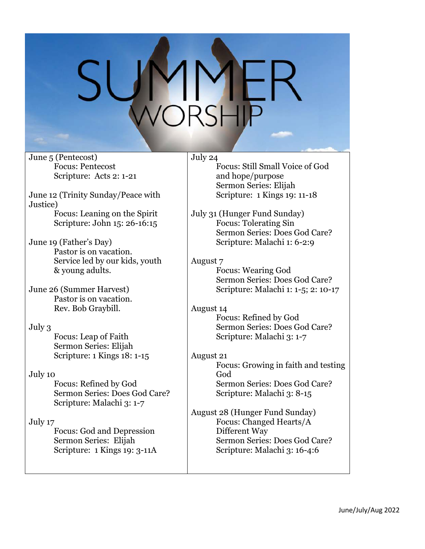June 5 (Pentecost) Focus: Pentecost Scripture: Acts 2: 1-21

June 12 (Trinity Sunday/Peace with Justice)

Focus: Leaning on the Spirit Scripture: John 15: 26-16:15

- June 19 (Father's Day) Pastor is on vacation. Service led by our kids, youth & young adults.
- June 26 (Summer Harvest) Pastor is on vacation. Rev. Bob Graybill.

July 3

Focus: Leap of Faith Sermon Series: Elijah Scripture: 1 Kings 18: 1-15

July 10

Focus: Refined by God Sermon Series: Does God Care? Scripture: Malachi 3: 1-7

July 17

Focus: God and Depression Sermon Series: Elijah Scripture: 1 Kings 19: 3-11A

#### July 24

Focus: Still Small Voice of God and hope/purpose Sermon Series: Elijah Scripture: 1 Kings 19: 11-18

July 31 (Hunger Fund Sunday) Focus: Tolerating Sin Sermon Series: Does God Care? Scripture: Malachi 1: 6-2:9

August 7

Focus: Wearing God Sermon Series: Does God Care? Scripture: Malachi 1: 1-5; 2: 10-17

August 14

Focus: Refined by God Sermon Series: Does God Care? Scripture: Malachi 3: 1-7

August 21

Focus: Growing in faith and testing God Sermon Series: Does God Care? Scripture: Malachi 3: 8-15

August 28 (Hunger Fund Sunday) Focus: Changed Hearts/A Different Way Sermon Series: Does God Care? Scripture: Malachi 3: 16-4:6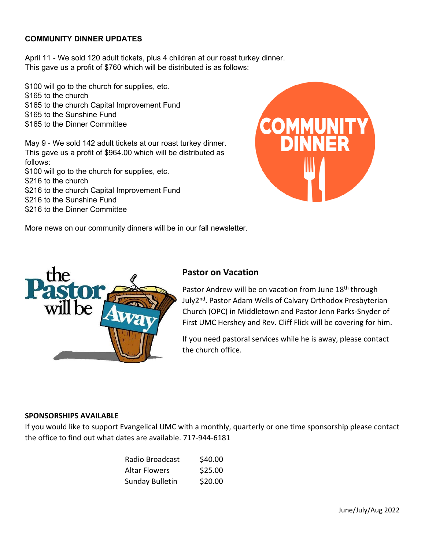#### **COMMUNITY DINNER UPDATES**

April 11 - We sold 120 adult tickets, plus 4 children at our roast turkey dinner. This gave us a profit of \$760 which will be distributed is as follows:

\$100 will go to the church for supplies, etc. \$165 to the church \$165 to the church Capital Improvement Fund \$165 to the Sunshine Fund \$165 to the Dinner Committee

May 9 - We sold 142 adult tickets at our roast turkey dinner. This gave us a profit of \$964.00 which will be distributed as follows:

\$100 will go to the church for supplies, etc. \$216 to the church \$216 to the church Capital Improvement Fund \$216 to the Sunshine Fund

\$216 to the Dinner Committee



More news on our community dinners will be in our fall newsletter.



#### **Pastor on Vacation**

Pastor Andrew will be on vacation from June 18<sup>th</sup> through July2<sup>nd</sup>. Pastor Adam Wells of Calvary Orthodox Presbyterian Church (OPC) in Middletown and Pastor Jenn Parks-Snyder of First UMC Hershey and Rev. Cliff Flick will be covering for him.

If you need pastoral services while he is away, please contact the church office.

#### **SPONSORSHIPS AVAILABLE**

If you would like to support Evangelical UMC with a monthly, quarterly or one time sponsorship please contact the office to find out what dates are available. 717-944-6181

| Radio Broadcast | \$40.00 |
|-----------------|---------|
| Altar Flowers   | \$25.00 |
| Sunday Bulletin | \$20.00 |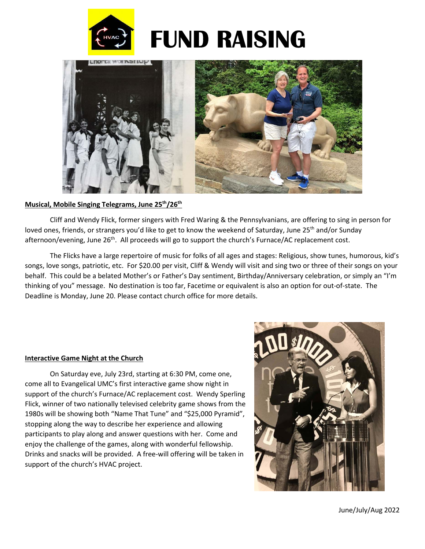



#### **Musical, Mobile Singing Telegrams, June 25th/26th**

Cliff and Wendy Flick, former singers with Fred Waring & the Pennsylvanians, are offering to sing in person for loved ones, friends, or strangers you'd like to get to know the weekend of Saturday, June 25<sup>th</sup> and/or Sunday afternoon/evening, June 26<sup>th</sup>. All proceeds will go to support the church's Furnace/AC replacement cost.

The Flicks have a large repertoire of music for folks of all ages and stages: Religious, show tunes, humorous, kid's songs, love songs, patriotic, etc. For \$20.00 per visit, Cliff & Wendy will visit and sing two or three of their songs on your behalf. This could be a belated Mother's or Father's Day sentiment, Birthday/Anniversary celebration, or simply an "I'm thinking of you" message. No destination is too far, Facetime or equivalent is also an option for out-of-state. The Deadline is Monday, June 20. Please contact church office for more details.

#### **Interactive Game Night at the Church**

On Saturday eve, July 23rd, starting at 6:30 PM, come one, come all to Evangelical UMC's first interactive game show night in support of the church's Furnace/AC replacement cost. Wendy Sperling Flick, winner of two nationally televised celebrity game shows from the 1980s will be showing both "Name That Tune" and "\$25,000 Pyramid", stopping along the way to describe her experience and allowing participants to play along and answer questions with her. Come and enjoy the challenge of the games, along with wonderful fellowship. Drinks and snacks will be provided. A free-will offering will be taken in support of the church's HVAC project.

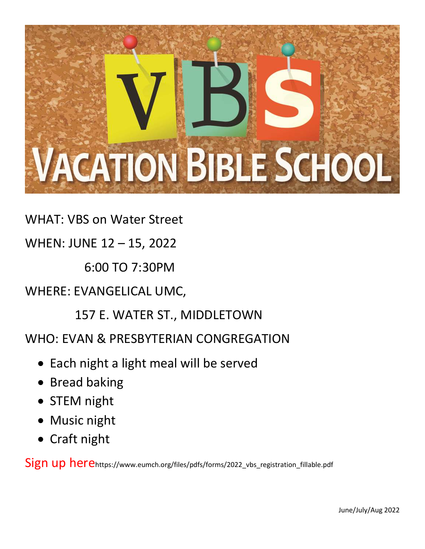

## WHAT: VBS on Water Street

## WHEN: JUNE 12 – 15, 2022

6:00 TO 7:30PM

### WHERE: EVANGELICAL UMC,

### 157 E. WATER ST., MIDDLETOWN

### WHO: EVAN & PRESBYTERIAN CONGREGATION

- Each night a light meal will be served
- Bread baking
- STEM night
- Music night
- Craft night

Sign up herehttps://www.eumch.org/files/pdfs/forms/2022\_vbs\_registration\_fillable.pdf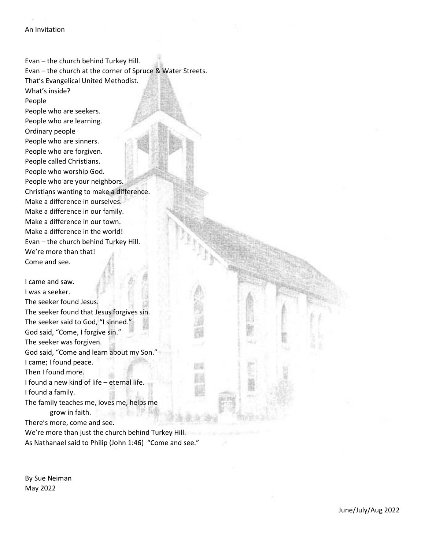Evan – the church behind Turkey Hill. Evan – the church at the corner of Spruce & Water Streets. That's Evangelical United Methodist. What's inside? People People who are seekers. People who are learning. Ordinary people People who are sinners. People who are forgiven. People called Christians. People who worship God. People who are your neighbors. Christians wanting to make a difference. Make a difference in ourselves. Make a difference in our family. Make a difference in our town. Make a difference in the world! Evan – the church behind Turkey Hill. We're more than that! Come and see.

I came and saw. I was a seeker. The seeker found Jesus. The seeker found that Jesus forgives sin. The seeker said to God, "I sinned." God said, "Come, I forgive sin." The seeker was forgiven. God said, "Come and learn about my Son." I came; I found peace. Then I found more. I found a new kind of life – eternal life. I found a family. The family teaches me, loves me, helps me grow in faith. There's more, come and see. We're more than just the church behind Turkey Hill. As Nathanael said to Philip (John 1:46) "Come and see."

By Sue Neiman May 2022